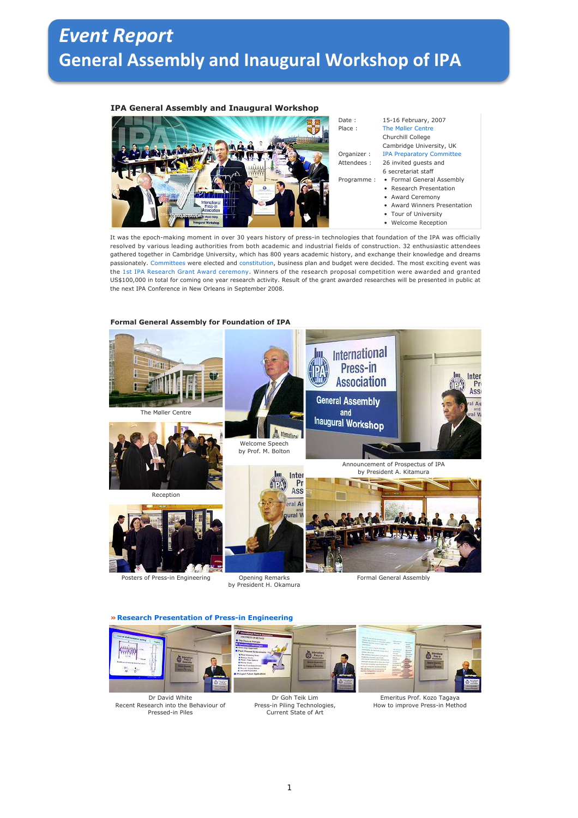## *Event Report* **General Assembly and Inaugural Workshop of IPA**

## **IPA General Assembly and Inaugural Workshop**



It was the epoch-making moment in over 30 years history of press-in technologies that foundation of the IPA was officially resolved by various leading authorities from both academic and industrial fields of construction. 32 enthusiastic attendees gathered together in Cambridge University, which has 800 years academic history, and exchange their knowledge and dreams passionately. Committees were elected and constitution, business plan and budget were decided. The most exciting event was the 1st IPA Research Grant Award ceremony. Winners of the research proposal competition were awarded and granted US\$100,000 in total for coming one year research activity. Result of the grant awarded researches will be presented in public at the next IPA Conference in New Orleans in September 2008.



## **Formal General Assembly for Foundation of IPA**

**» Research Presentation of Press-in Engineering**

by President H. Okamura





Dr Goh Teik Lim Press-in Piling Technologies, Current State of Art



Emeritus Prof. Kozo Tagaya How to improve Press-in Method